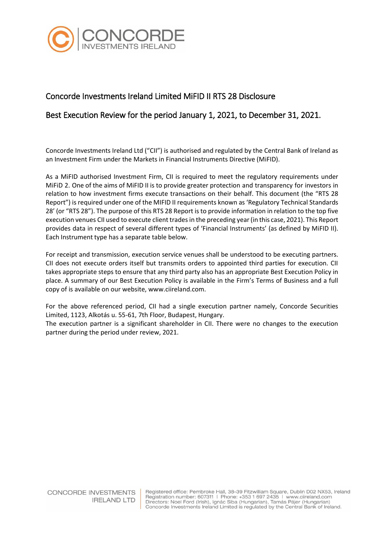

## Concorde Investments Ireland Limited MiFID II RTS 28 Disclosure

## Best Execution Review for the period January 1, 2021, to December 31, 2021.

Concorde Investments Ireland Ltd ("CII") is authorised and regulated by the Central Bank of Ireland as an Investment Firm under the Markets in Financial Instruments Directive (MiFID).

As a MiFID authorised Investment Firm, CII is required to meet the regulatory requirements under MiFiD 2. One of the aims of MiFID II is to provide greater protection and transparency for investors in relation to how investment firms execute transactions on their behalf. This document (the "RTS 28 Report") is required under one of the MIFID II requirements known as 'Regulatory Technical Standards 28' (or "RTS 28"). The purpose of this RTS 28 Report is to provide information in relation to the top five execution venues CII used to execute client trades in the preceding year(in this case, 2021). This Report provides data in respect of several different types of 'Financial Instruments' (as defined by MiFID II). Each Instrument type has a separate table below.

For receipt and transmission, execution service venues shall be understood to be executing partners. CII does not execute orders itself but transmits orders to appointed third parties for execution. CII takes appropriate steps to ensure that any third party also has an appropriate Best Execution Policy in place. A summary of our Best Execution Policy is available in the Firm's Terms of Business and a full copy of is available on our website, www.ciireland.com.

For the above referenced period, CII had a single execution partner namely, Concorde Securities Limited, 1123, Alkotás u. 55-61, 7th Floor, Budapest, Hungary.

The execution partner is a significant shareholder in CII. There were no changes to the execution partner during the period under review, 2021.

CONCORDE INVESTMENTS **IRELAND LTD** 

Registered office: Pembroke Hall, 38-39 Fitzwilliam Square, Dublin D02 NX53, Ireland registration number: 607311 | Phone: +353 1 697 2435 | www.ciireland.com<br>Directors: Noel Ford (Irish), Ignác Siba (Hungarian), Tamás Pájer (Hungarian) Concorde Investments Ireland Limited is regulated by the Central Bank of Ireland.